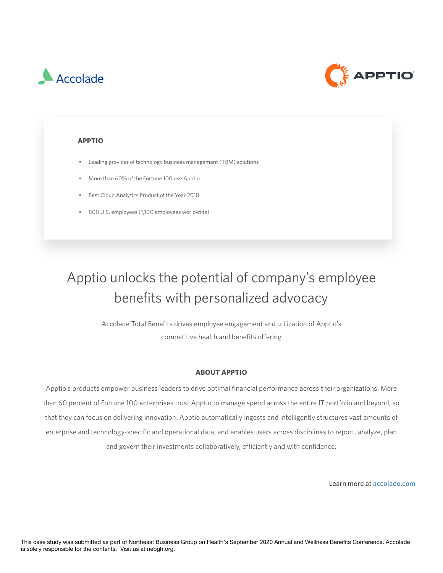



#### **APPTIO**

- **•** Leading provider of technology business management (TBM) solutions
- More than 60% of the Fortune 100 use Apptio
	- Background on employer (e.g., name, industry, size, geography) • Best Cloud Analytics Product of the Year 2018
	- 800 U.S. employees (1,100 employees worldwide)  $\mathcal{L}_{\text{S}}$  is as well as well as well as well as well as well as well as well as well as  $\mathcal{L}_{\text{S}}$  insights on  $\mathcal{L}_{\text{S}}$

# Apptio unlocks the potential of company's employee benefits with personalized advocacy

Accolade Total Benefits drives employee engagement and utilization of Apptio's competitive health and benefits offering

#### **ABOUT APPTIO**

Apptio's products empower business leaders to drive optimal financial performance across their organizations. More than 60 percent of Fortune 100 enterprises trust Apptio to manage spend across the entire IT portfolio and beyond, so • Case studies may be featured during NEBGH's 2020 Annual Conference and will be featured throughout the year enterprise and technology-specific and operational data, and enables users across disciplines to report, analyze, plan<br>. and govern their investments collaboratively, efficiently and with confidence. that they can focus on delivering innovation. Apptio automatically ingests and intelligently structures vast amounts of

Learn more at accolade.com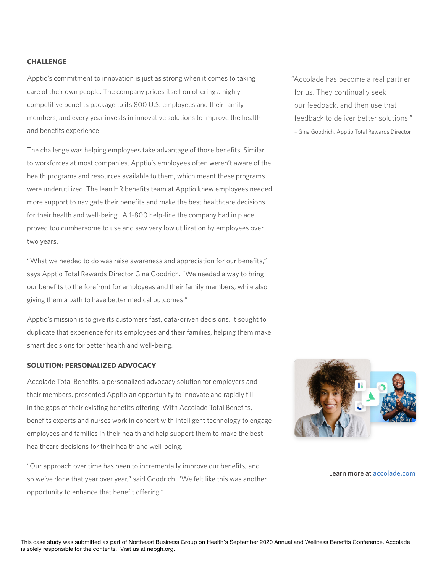#### **CHALLENGE**

Apptio's commitment to innovation is just as strong when it comes to taking members, and every year invests in innovative solutions to improve the health ABC Company and XXIZ Sponsor worked to engage readers to engage readers. care of their own people. The company prides itself on offering a highly competitive benefits package to its 800 U.S. employees and their family and benefits experience.

to workforces at most companies, Apptio's employees often weren't aware of the health programs and resources available to them, which meant these programs were underutilized. The lean HR benefits team at Apptio knew employees needed more support to navigate their benefits and make the best healthcare decisions  $\sim$  Challenge (short description of what the employer was hoping to address/solve for  $\sim$ for their health and well-being.  $\,$  A 1-800 help-line the company had in place proved too cumbersome to use and saw very low utilization by employees over  $\overline{R}$  $\mathcal{P}$ erspective (include a brief attributed quote from employer with reflections on the partnership, if  $p$ The challenge was helping employees take advantage of those benefits. Similar two years.

.<br>Lotherwise, Lotherwise, Lotherwise, Lotherwise, Lotherwise, Lotherwise, Lotherwise, Lotherwise, Lotherwise, Lo "What we needed to do was raise awareness and appreciation for our benefits,"  $\,$ says Apptio Total Rewards Director Gina Goodrich. "We needed a way to bring **Guidelines:** giving them a path to have better medical outcomes."  $\blacksquare$ our benefits to the forefront for employees and their family members, while also

the Northeast or have employees in this region. If that's not possible please contact Janaera at jgaston@nebgh.org Apptio's mission is to give its customers fast, data-driven decisions. It sought to duplicate that experience for its employees and their families, helping them make  $\quad \mid$ smart decisions for better health and well-being.  $\mathcal{L}_{\mathcal{B}}$  is disclaimer must remain at the bottom at the bottom at the bottom at the bottom at the bottom at the bottom at the bottom at the bottom at the bottom at the bottom at the bottom at the bottom at the botto

#### ${\bf SOLU TION: } {\bf PERSONALIZED \, ADVOCACY}$  $\overline{a}$

Accolade Total Benefits, a personalized advocacy solution for employers and  $\mathbf{F}$  please submit case study to  $\mathbf{F}$  reserves the right to work with sponsor to work with sponsor to  $\mathbf{F}$ their members, presented Apptio an opportunity to innovate and rapidly fill<br>. benefits experts and nurses work in concert with intelligent technology to engage • Case studies may be featured during NEBGH's 2020 Annual Conference and will be featured throughout the year employees and families in their health and help support them to make the best  $\blacksquare$ healthcare decisions for their health and well-being. in the gaps of their existing benefits offering. With Accolade Total Benefits,

"Our approach over time has been to incrementally improve our benefits, and so we've done that year over year," said Goodrich. "We felt like this was another opportunity to enhance that benefit offering."

"Accolade has become a real partner for us. They continually seek our feedback, and then use that feedback to deliver better solutions." – Gina Goodrich, Apptio Total Rewards Director



#### Learn more at accolade.com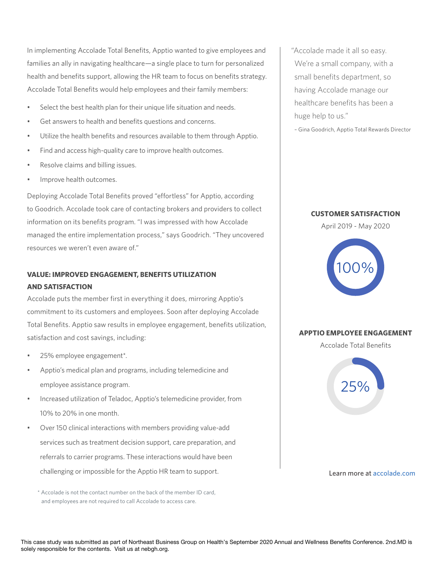$\begin{bmatrix} 1 & 1 \\ 1 & 1 \end{bmatrix}$ health and benefits support, allowing the HR team to focus on benefits strategy.<br>. In implementing Accolade Total Benefits, Apptio wanted to give employees and families an ally in navigating healthcare—a single place to turn for personalized Accolade Total Benefits would help employees and their family members:

- **Use this space to give a brief overview of the story:** Select the best health plan for their unique life situation and needs.
- Get answers to health and benefits questions and concerns.
- Utilize the health benefits and resources available to them through Apptio.
- Find and access high-quality care to improve health outcomes.
- Resolve claims and billing issues.<br>• Resolve claims and billing issues.
- Improve health outcomes.  **Improve health outcomes.**

• Background on employer (e.g., name, industry, size, geography) Deploying Accolade Total Benefits proved "effortless" for Apptio, according to Goodrich. Accolade took care of contacting brokers and providers to collect  $\qquad \qquad \qquad$ information on its benefits program. "I was impressed with how Accolade **interesting interesting interesting in** communication of the communication of the communication of the communication of the communication of the communication of the communication of the communication of the communication of the communication of the communicatio managed the entire implementation process," says Goodrich. "They uncovered resources we weren't even aware of." The partnership on the partnership of the partnership of the partnership of the partnership of the partnership of the partnership of the partnership of the partnership of the partnershi

### **VALUE: IMPROVED ENGAGEMENT, BENEFITS UTILIZATION AND SATISFACTION**

**Guidelines:** Accolade puts the member first in everything it does, mirroring Apptio's **comployer the may feature in employer**  $\mathbf{r}$ commitment to its customers and employees. Soon after deploying Accolade  $\qquad \qquad \mid$ Total Benefits. Apptio saw results in employee engagement, benefits utilization,  $\qquad \qquad \mid$ **PLUE BROAGEMENT** satisfaction and cost savings, including:

- 25% employee engagement\*.  $\mathcal{L}_{\mathcal{D}}$  or omproped only approach  $\mathcal{L}_{\mathcal{D}}$
- Apptio's medical plan and programs, including telemedicine and employee assistance program.<br>
Sponsor is a province of submission of submission and submission of submission and submission of submission o
- Increased utilization of Teladoc, Apptio's telemedicine provider, from 10% to 20% in one month.
- Over 150 clinical interactions with members providing value-add structured throughout the Verence structure throughout the year of the year of the year of the year of the year of the year of the year of the year of the y NEBGH will drive readership by: Posting case study documents on our website services such as treatment decision support, care preparation, and *Providing a case study to offer additional value to sponsors is optional.* challenging or impossible for the Apptio HR team to support. referrals to carrier programs. These interactions would have been

\* Accolade is not the contact number on the back of the member ID card, and employees are not required to call Accolade to access care.

Sponsor Logo small benefits department, so "Accolade made it all so easy. We're a small company, with a having Accolade manage our healthcare benefits has been a huge help to us."

– Gina Goodrich, Apptio Total Rewards Director



**CUSTOMER SATISFACTION**

Accolade Total Benefits



Learn more at accolade.com

This case study was submitted as part of Northeast Business Group on Health's September 2020 Annual and Wellness Benefits Conference. 2nd.MD is solely responsible for the contents. Visit us at nebgh.org.